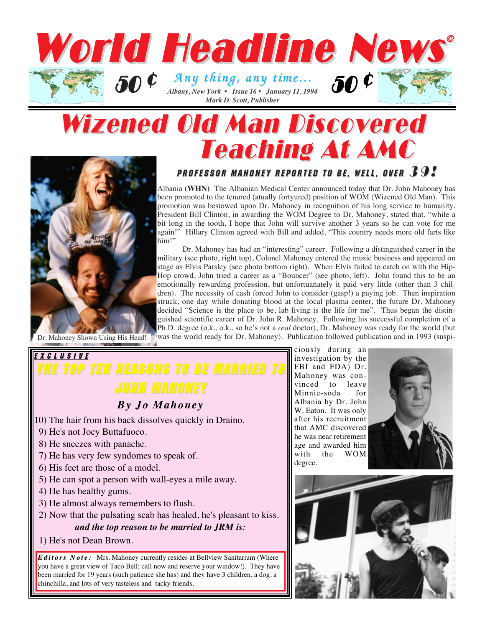

# Wizened Old Man Discovered Teaching At AMC



### PROFESSOR MAHONEY REPORTED TO BE, WELL, OVER  $39$ ?

Albania **(WHN)** The Albanian Medical Center announced today that Dr. John Mahoney has been promoted to the tenured (atually fortyured) position of WOM (Wizened Old Man). This promotion was bestowed upon Dr. Mahoney in recognition of his long service to humanity. President Bill Clinton, in awarding the WOM Degree to Dr. Mahoney, stated that, "while a bit long in the tooth, I hope that John will survive another 3 years so he can vote for me again!" Hillary Clinton agreed with Bill and added, "This country needs more old farts like him!"

Dr. Mahoney has had an "interesting" career. Following a distinguished career in the military (see photo, right top), Colonel Mahoney entered the music business and appeared on stage as Elvis Parsley (see photo bottom right). When Elvis failed to catch on with the Hip-Hop crowd, John tried a career as a "Bouncer" (see photo, left). John found this to be an emotionally rewarding profession, but unfortuanately it paid very little (other than 3 children). The necessity of cash forced John to consider (gasp!) a paying job. Then inspiration struck, one day while donating blood at the local plasma center, the future Dr. Mahoney decided "Science is the place to be, lab living is the life for me". Thus began the distinguished scientific career of Dr. John R. Mahoney. Following his successful completion of a Ph.D. degree (o.k., o.k., so he's not a *real* doctor), Dr. Mahoney was ready for the world (but Dr. Mahoney Shown Using His Head! was the world ready for Dr. Mahoney). Publication followed publication and in 1993 (suspi-

### EXCLUSIVE **TOP TEN REASONS TO BE MARRIED TO** JOHN MAHONEY

#### *By Jo Mahoney*

- 10) The hair from his back dissolves quickly in Draino.
- 9) He's not Joey Buttafuoco.
- 8) He sneezes with panache.
- 7) He has very few syndomes to speak of.
- 6) His feet are those of a model.
- 5) He can spot a person with wall-eyes a mile away.
- 4) He has healthy gums.
- 3) He almost always remembers to flush.
- 2) Now that the pulsating scab has healed, he's pleasant to kiss. *and the top reason to be married to JRM is:*
- 1) He's not Dean Brown.

*Editors Note: Editors Note:* Mrs. Mahoney currently resides at Bellview Sanitarium (Where you have a great view of Taco Bell; call now and reserve your window!). They have been married for 19 years (such patience she has) and they have 3 children, a dog, a chinchilla, and lots of very tasteless and tacky friends.

ciously during an investigation by the FBI and FDA) Dr. Mahoney was convinced to leave Minnie-soda for Albania by Dr. John W. Eaton. It was only after his recruitment that AMC discovered he was near retirement age and awarded him with the WOM degree.



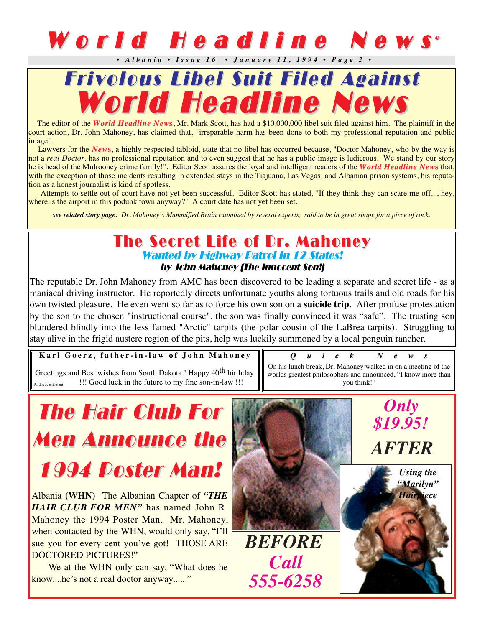### World Headline News<sup>®</sup> *• Albania • Issue 16 • January 11, 1994 • Page 2 •*



The editor of the *World Headline New***s**, Mr. Mark Scott, has had a \$10,000,000 libel suit filed against him. The plaintiff in the court action, Dr. John Mahoney, has claimed that, "irreparable harm has been done to both my professional reputation and public image".

Lawyers for the *New***s**, a highly respected tabloid, state that no libel has occurred because, "Doctor Mahoney, who by the way is not a *real Doctor,* has no professional reputation and to even suggest that he has a public image is ludicrous. We stand by our story he is head of the Mulrooney crime family!". Editor Scott assures the loyal and intelligent readers of the *World Headline New***s** that, with the exception of those incidents resulting in extended stays in the Tiajuana, Las Vegas, and Albanian prison systems, his reputation as a honest journalist is kind of spotless.

Attempts to settle out of court have not yet been successful. Editor Scott has stated, "If they think they can scare me off..., hey, where is the airport in this podunk town anyway?" A court date has not yet been set.

*see related story page: Dr. Mahoney's Mummified Brain examined by several experts, said to be in great shape for a piece of rock.*

### The Secret Life of Dr. Mahoney Wanted by Highway Patrol In 12 States! by John Mahoney (The Innocent Son!)

The reputable Dr. John Mahoney from AMC has been discovered to be leading a separate and secret life - as a maniacal driving instructor. He reportedly directs unfortunate youths along tortuous trails and old roads for his own twisted pleasure. He even went so far as to force his own son on a **suicide trip**. After profuse protestation by the son to the chosen "instructional course", the son was finally convinced it was "safe". The trusting son blundered blindly into the less famed "Arctic" tarpits (the polar cousin of the LaBrea tarpits). Struggling to stay alive in the frigid austere region of the pits, help was luckily summoned by a local penguin rancher.

**Karl Goerz, father-in-law of John Mahoney** Greetings and Best wishes from South Dakota ! Happy 40<sup>th</sup> birthday

Paid Advertisment !!! Good luck in the future to my fine son-in-law !!!

*Quick News News* On his lunch break, Dr. Mahoney walked in on a meeting of the worlds greatest philosophers and announced, "I know more than you think!"

# **The Hair Club For Men Announce the** 1994 Poster Man!

Albania **(WHN)** The Albanian Chapter of *"THE HAIR CLUB FOR MEN"* has named John R. Mahoney the 1994 Poster Man. Mr. Mahoney, when contacted by the WHN, would only say, "I'll sue you for every cent you've got! THOSE ARE DOCTORED PICTURES!"

We at the WHN only can say, "What does he know....he's not a real doctor anyway......"

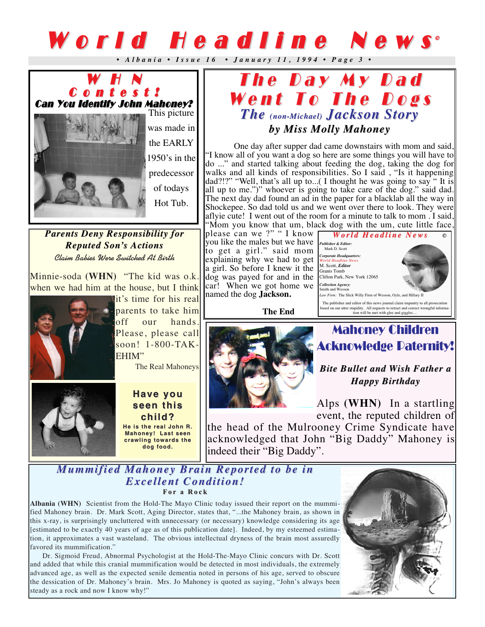# World Headline News<sup>®</sup>

*• Albania • Issue 16 • January 11, 1994 • Page 3 •* 



*Parents Deny Responsibility for Parents Deny Responsibility for Reputed Son' Son's Actions s Actions* **Claim Babies Were Switched At Birth**

Minnie-soda **(WHN)** "The kid was o.k. when we had him at the house, but I think



it's time for his real parents to take him off our hands. Please, please call soon! 1-800-TAK-EHIM"

The Real Mahoneys



#### *Have you Have you seen this seen this child?*

*He is the real John R. He the real John Mahoney! Last seen crawling towards the dog food. dog food.*



One day after supper dad came downstairs with mom and said, "I know all of you want a dog so here are some things you will have to do ..." and started talking about feeding the dog, taking the dog for walks and all kinds of responsibilities. So I said, "Is it happening dad?!?" "Well, that's all up to...( I thought he was going to say " It is all up to me.")" whoever is going to take care of the dog." said dad. The next day dad found an ad in the paper for a blacklab all the way in Shockepee. So dad told us and we went over there to look. They were aflyie cute! I went out of the room for a minute to talk to mom . I said, "Mom you know that um, black dog with the um, cute little face,

please can we ?" " I know you like the males but we have *Publisher & Editor:* to get a girl." said mom explaining why we had to get a girl. So before I knew it the dog was payed for and in the car! When we got home we named the dog **Jackson.**

**The End**



Mahoney Children

# Acknowledge Paternity!

*Bite Bullet and Wish Father a ish Father a Happy Birthday Happy Birthday*

Alps **(WHN)** In a startling event, the reputed children of

the head of the Mulrooney Crime Syndicate have acknowledged that John "Big Daddy" Mahoney is indeed their "Big Daddy".

#### *Mummified Mahoney Brain Reported to be in Mummified Mahoney Brain Reported to be in Excellent Condition! Excellent Condition!* **For a Rock**

**Albania (WHN)** Scientist from the Hold-The Mayo Clinic today issued their report on the mummified Mahoney brain. Dr. Mark Scott, Aging Director, states that, "...the Mahoney brain, as shown in this x-ray, is surprisingly uncluttered with unnecessary (or necessary) knowledge considering its age [estimated to be exactly 40 years of age as of this publication date]. Indeed, by my esteemed estimation, it approximates a vast wasteland. The obvious intellectual dryness of the brain most assuredly favored its mummification."

Dr. Sigmoid Freud, Abnormal Psychologist at the Hold-The-Mayo Clinic concurs with Dr. Scott and added that while this cranial mummification would be detected in most individuals, the extremely advanced age, as well as the expected senile dementia noted in persons of his age, served to obscure the dessication of Dr. Mahoney's brain. Mrs. Jo Mahoney is quoted as saying, "John's always been steady as a rock and now I know why!"

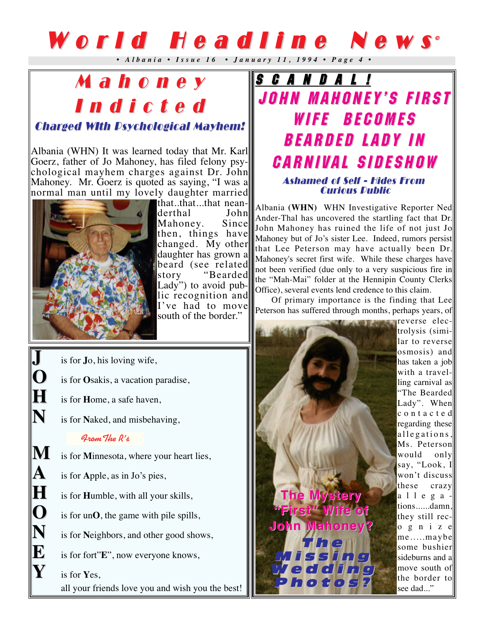# World Headline News

*• Albania • Issue 16 • January 11, 1994 • Page 4 •* 

## Mahoney Mahoney Indicted

### Charged WIth Psychological Mayhem! Charged WIth Psychological Mayhem!

Albania (WHN) It was learned today that Mr. Karl Goerz, father of Jo Mahoney, has filed felony psychological mayhem charges against Dr. John Mahoney. Mr. Goerz is quoted as saying, "I was a normal man until my lovely daughter married



that..that...that neanderthal John<br>Mahonev. Since Mahoney. then, things have changed. My other daughter has grown a beard (see related<br>story "Bearded "Bearded Lady") to avoid public recognition and I've had to move south of the border."

**J** is for **J**o, his loving wife,<br>**Q** is for **O**sakis, a vacation r

- is for **O**sakis, a vacation paradise,
- **H** is for **H**ome, a safe haven,
- **N** is for **N**aked, and misbehaving,

#### **FromThe R's**

**M** is for **Minnesota**, where your heart lies,

A is for Apple, as in Jo's pies,

**H** is for **H**umble, with all your skills,

- 
- **O** is for un**O**, the game with pile spills,<br> **N** is for Neighbors, and other good show is for **Neighbors**, and other good shows,

**E** is for fort"**E**", now everyone knows,<br> **F** is for **Y**es.

**Y** is for **Y**es, all your friends love you and wish you the best!

### S C A N D A L ! JOHN MAHONEY'S FIRST JOHN MAHONEY'S FIRST WIFE BECOMES BEARDED LADY IN CARNIVAL SIDESHOW Ashamed of Self - Hides From **Curious Public**

Albania **(WHN)** WHN Investigative Reporter Ned Ander-Thal has uncovered the startling fact that Dr. John Mahoney has ruined the life of not just Jo Mahoney but of Jo's sister Lee. Indeed, rumors persist that Lee Peterson may have actually been Dr. Mahoney's secret first wife. While these charges have not been verified (due only to a very suspicious fire in the "Mah-Mai" folder at the Hennipin County Clerks Office), several events lend credence to this claim.

Of primary importance is the finding that Lee Peterson has suffered through months, perhaps years, of

*The Mystery The Mystery "First" Wife of John Mahoney? John Mahoney?* The Missing e d di n c hotos

reverse electrolysis (similar to reverse osmosis) and has taken a job with a travelling carnival as "The Bearded Lady". When contacted regarding these allegations, Ms. Peterson would only say, "Look, I won't discuss these crazy allegations......damn, they still recognize me.....maybe some bushier sideburns and a move south of the border to see dad..."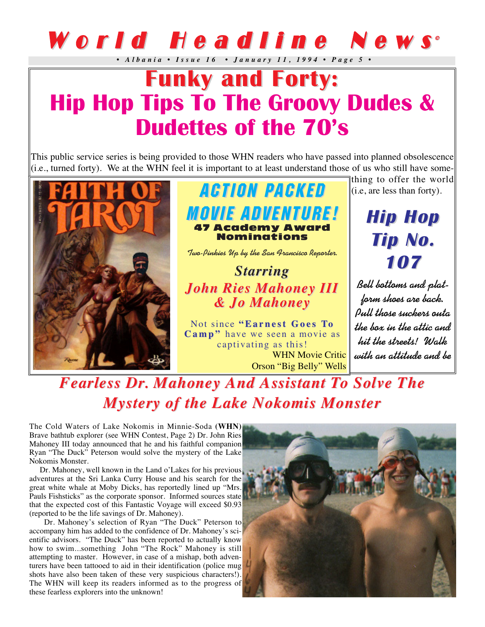# World Headline News<sup>®</sup>

*• Albania • Issue 16 • January 11, 1994 • Page 5 •* 

## **Funky and Forty: Funky and Forty: Hip Hop Tips To The Groovy Dudes & Dudettes of the 70's**

This public service series is being provided to those WHN readers who have passed into planned obsolescence (i.e., turned forty). We at the WHN feel it is important to at least understand those of us who still have some-



**ACTION PACKED MOVIE ADVENTURE!** 47 Academy Award Nominations

**Two-Pinkies Up by the San Francisco Reporter.**

*Starring Starring John Ries Mahoney III John Ries Mahoney III & Jo Mahoney & Jo Mahoney*

Not since **"Earnest Goes To Camp"** have we seen a movie as captivating as this! WHN Movie Critic Orson "Big Belly" Wells

thing to offer the world  $\parallel$  (i.e, are less than forty).

> **Hip Hop Hip Hop Tip No. Tip No. 107**

**Bell bottoms and platform shoes are back. Pull those suckers outa the box in the attic and hit the streets! Walk with an attitude and be**

## *Fearless Dr. Mahoney And Assistant To Solve The Mystery of the Lake Nokomis Monster Mystery of the Lake Nokomis Monster*

The Cold Waters of Lake Nokomis in Minnie-Soda **(WHN)** Brave bathtub explorer (see WHN Contest, Page 2) Dr. John Ries Mahoney III today announced that he and his faithful companion Ryan "The Duck" Peterson would solve the mystery of the Lake Nokomis Monster.

Dr. Mahoney, well known in the Land o'Lakes for his previous adventures at the Sri Lanka Curry House and his search for the great white whale at Moby Dicks, has reportedly lined up "Mrs. Pauls Fishsticks" as the corporate sponsor. Informed sources state that the expected cost of this Fantastic Voyage will exceed \$0.93 (reported to be the life savings of Dr. Mahoney).

Dr. Mahoney's selection of Ryan "The Duck" Peterson to accompany him has added to the confidence of Dr. Mahoney's scientific advisors. "The Duck" has been reported to actually know how to swim...something John "The Rock" Mahoney is still attempting to master. However, in case of a mishap, both adventurers have been tattooed to aid in their identification (police mug shots have also been taken of these very suspicious characters!). The WHN will keep its readers informed as to the progress of these fearless explorers into the unknown!